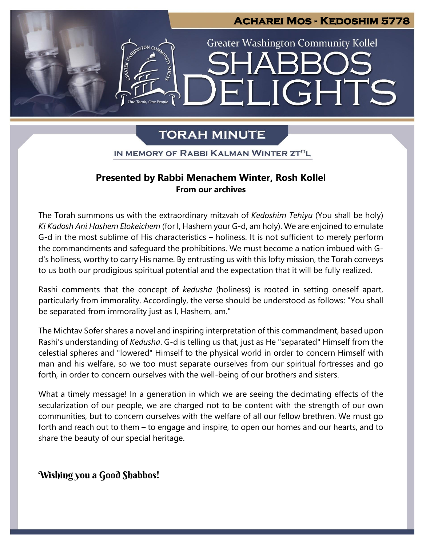

# **TORAH MINUTE**

IN MEMORY OF RABBI KALMAN WINTER ZT"L

#### Ì **Presented by Rabbi Menachem Winter, Rosh Kollel From our archives**

The Torah summons us with the extraordinary mitzvah of *Kedoshim Tehiyu* (You shall be holy) *Ki Kadosh Ani Hashem Elokeichem* (for I, Hashem your G-d, am holy). We are enjoined to emulate G-d in the most sublime of His characteristics – holiness. It is not sufficient to merely perform the commandments and safeguard the prohibitions. We must become a nation imbued with G-<br>distributions and the present in a serie of the problems. We must become a nation imbued with Gd's holiness, worthy to carry His name. By entrusting us with this lofty mission, the Torah conveys to us both our prodigious spiritual potential and the expectation that it will be fully realized. **Pre**

Rashi comments that the concept of *kedusha* (holiness) is rooted in setting oneself apart, particularly from immorality. Accordingly, the verse should be understood as follows: "You shall be separated from immorality just as I, Hashem, am."

The Michtav Sofer shares a novel and inspiring interpretation of this commandment, based upon Rashi's understanding of *Kedusha*. G-d is telling us that, just as He "separated" Himself from the celestial spheres and "lowered" Himself to the physical world in order to concern Himself with man and his welfare, so we too must separate ourselves from our spiritual fortresses and go forth, in order to concern ourselves with the well-being of our brothers and sisters.

What a timely message! In a generation in which we are seeing the decimating effects of the secularization of our people, we are charged not to be content with the strength of our own communities, but to concern ourselves with the welfare of all our fellow brethren. We must go forth and reach out to them – to engage and inspire, to open our homes and our hearts, and to share the beauty of our special heritage.

## **Wishing you a Good Shabbos!**